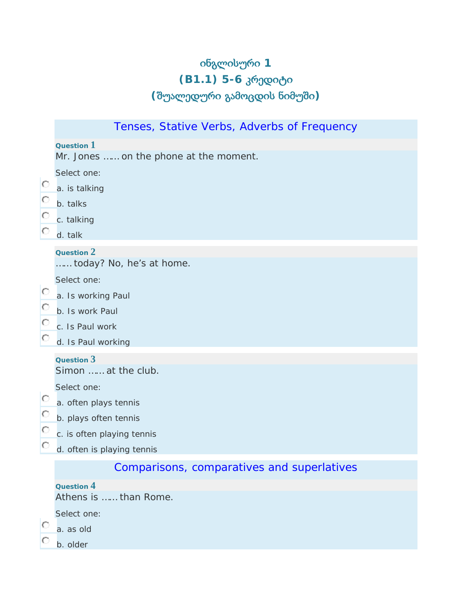# ინგლისური **1 (B1.1) 5-6** კრედიტი **(**შუალედური გამოცდის ნიმუში**)**

|                               | Tenses, Stative Verbs, Adverbs of Frequency |
|-------------------------------|---------------------------------------------|
|                               | Question $1$                                |
|                               | Mr. Jones  on the phone at the moment.      |
|                               | Select one:                                 |
| $\circ$<br>$\circ$<br>$\circ$ | a. is talking                               |
|                               | b. talks                                    |
|                               | c. talking                                  |
| О                             | d. talk                                     |
|                               | Question 2                                  |
|                               | today? No, he's at home.                    |
| $\circ$                       | Select one:                                 |
| $\circ$                       | a. Is working Paul<br>b. Is work Paul       |
| $\circ$                       | c. Is Paul work                             |
| $\circ$                       | d. Is Paul working                          |
|                               |                                             |
|                               | Question 3<br>Simon  at the club.           |
|                               | Select one:                                 |
| $\circ$                       | a. often plays tennis                       |
| $\circ$                       | b. plays often tennis                       |
| $\circ$                       | c. is often playing tennis                  |
| Ю                             | d. often is playing tennis                  |
|                               | Comparisons, comparatives and superlatives  |
|                               | Question 4                                  |
|                               | Athens is  than Rome.                       |
|                               | Select one:                                 |
| Ю                             | a. as old                                   |
| O                             | b. older                                    |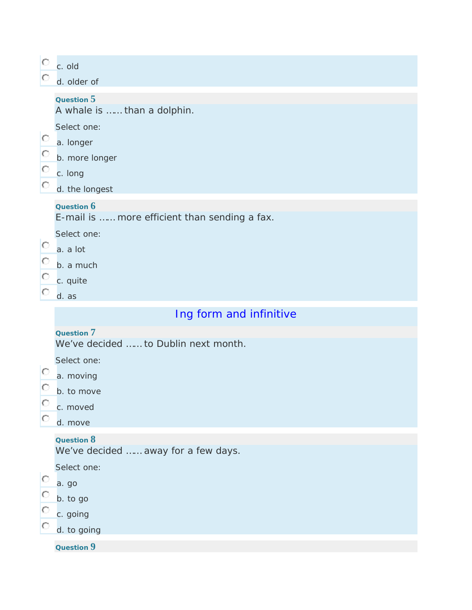| $\circ$                 | c. old                                        |  |  |  |
|-------------------------|-----------------------------------------------|--|--|--|
| Ю                       | d. older of                                   |  |  |  |
|                         | Question 5                                    |  |  |  |
|                         | A whale is  than a dolphin.                   |  |  |  |
|                         | Select one:                                   |  |  |  |
| $\circ$                 | a. longer                                     |  |  |  |
| $\circ$                 | b. more longer                                |  |  |  |
| $\circ$                 | c. long                                       |  |  |  |
| $\circ$                 | d. the longest                                |  |  |  |
|                         | Question 6                                    |  |  |  |
|                         | E-mail is  more efficient than sending a fax. |  |  |  |
| $\circ$                 | Select one:                                   |  |  |  |
|                         | a. a lot                                      |  |  |  |
| $\circ$                 | b. a much                                     |  |  |  |
| $\circ$                 | c. quite                                      |  |  |  |
| Ю                       | d. as                                         |  |  |  |
| Ing form and infinitive |                                               |  |  |  |
|                         |                                               |  |  |  |
|                         | Question 7                                    |  |  |  |
|                         | We've decided  to Dublin next month.          |  |  |  |
|                         | Select one:                                   |  |  |  |
| Ю                       | a. moving                                     |  |  |  |
| Ю                       | b. to move                                    |  |  |  |
| $\circ$                 | c. moved                                      |  |  |  |
|                         | d. move                                       |  |  |  |
|                         | Question 8                                    |  |  |  |
|                         | We've decided  away for a few days.           |  |  |  |
|                         | Select one:                                   |  |  |  |
| Ю                       | a. go                                         |  |  |  |
| Ю                       | b. to go                                      |  |  |  |
| $\circ$                 | c. going                                      |  |  |  |
| Ю                       | d. to going                                   |  |  |  |
|                         | Question 9                                    |  |  |  |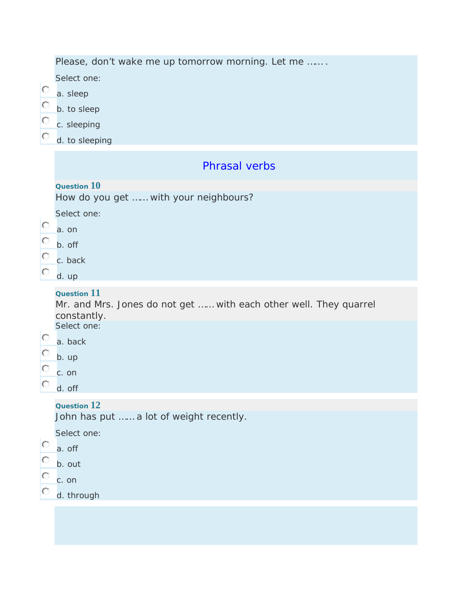|                                    | Please, don't wake me up tomorrow morning. Let me                                                      |
|------------------------------------|--------------------------------------------------------------------------------------------------------|
| $\circ$<br>$\circ$<br>$\circ$<br>Ю | Select one:                                                                                            |
|                                    | a. sleep                                                                                               |
|                                    | b. to sleep                                                                                            |
|                                    | c. sleeping                                                                                            |
|                                    | d. to sleeping                                                                                         |
| $\circ$<br>$\circ$                 | <b>Phrasal verbs</b>                                                                                   |
|                                    | Question 10<br>How do you get  with your neighbours?                                                   |
|                                    | Select one:                                                                                            |
|                                    | a. on                                                                                                  |
|                                    | b. off                                                                                                 |
| $\circ$<br>O                       | c. back                                                                                                |
|                                    | d. up                                                                                                  |
|                                    | <b>Question 11</b><br>Mr. and Mrs. Jones do not get  with each other well. They quarrel<br>constantly. |
| $\circ$                            | Select one:                                                                                            |
| $\circ$                            | a. back                                                                                                |
| O                                  | b. up                                                                                                  |
|                                    | c. on                                                                                                  |
|                                    | d. off                                                                                                 |
|                                    | Question 12<br>John has put  a lot of weight recently.                                                 |
|                                    | Select one:                                                                                            |
| $\circ$                            | a. off                                                                                                 |
| $\circ$                            | b. out                                                                                                 |
| $\circ$                            | c. on                                                                                                  |
|                                    | d. through                                                                                             |
|                                    |                                                                                                        |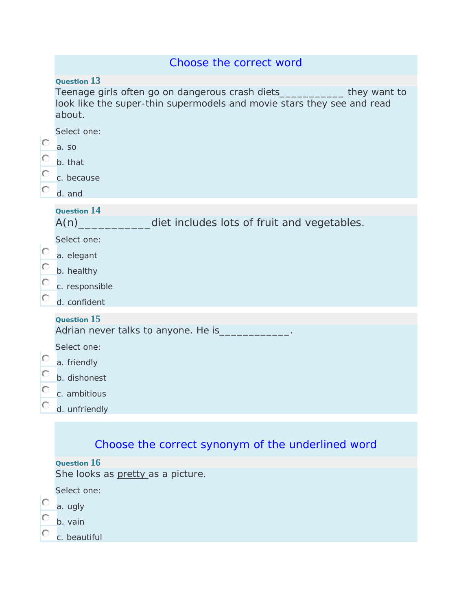|         | Choose the correct word                                                                                                                                      |
|---------|--------------------------------------------------------------------------------------------------------------------------------------------------------------|
|         | Question 13                                                                                                                                                  |
|         | Teenage girls often go on dangerous crash diets_____________they want to<br>look like the super-thin supermodels and movie stars they see and read<br>about. |
|         | Select one:                                                                                                                                                  |
| $\circ$ | a. so                                                                                                                                                        |
| $\circ$ | b. that                                                                                                                                                      |
| $\circ$ | c. because                                                                                                                                                   |
| $\circ$ | d. and                                                                                                                                                       |
|         | <b>Question 14</b>                                                                                                                                           |
|         | A(n)<br>diet includes lots of fruit and vegetables.                                                                                                          |
|         | Select one:                                                                                                                                                  |
| $\circ$ | a. elegant                                                                                                                                                   |
| $\circ$ | b. healthy                                                                                                                                                   |
| $\circ$ | c. responsible                                                                                                                                               |
| $\circ$ | d. confident                                                                                                                                                 |
|         | Question 15                                                                                                                                                  |
|         | Adrian never talks to anyone. He is                                                                                                                          |
|         | Select one:                                                                                                                                                  |
| $\circ$ | a. friendly                                                                                                                                                  |
| $\circ$ | b. dishonest                                                                                                                                                 |
| $\circ$ | c. ambitious                                                                                                                                                 |
| $\circ$ | d. unfriendly                                                                                                                                                |
|         |                                                                                                                                                              |
|         | Choose the correct synonym of the underlined word                                                                                                            |

**Question 16**

She looks as pretty as a picture.

Select one:

- $\overline{\phantom{a}}$  a. ugly
- $\circ$ b. vain

 $\circ$ c. beautiful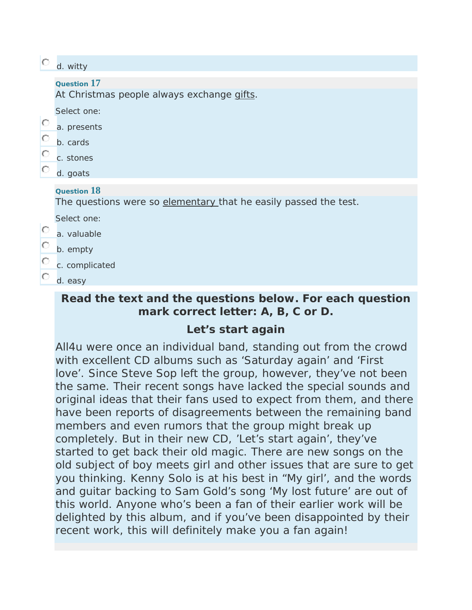| $\circ$ | d. witty                                                         |
|---------|------------------------------------------------------------------|
|         | Question 17                                                      |
|         | At Christmas people always exchange gifts.                       |
|         | Select one:                                                      |
| $\circ$ | a. presents                                                      |
| $\circ$ | b. cards                                                         |
| $\circ$ | c. stones                                                        |
| $\circ$ | d. goats                                                         |
|         | Question 18                                                      |
|         | The questions were so elementary that he easily passed the test. |
|         | Select one:                                                      |
| $\circ$ | a. valuable                                                      |
| О       | b. empty                                                         |
| Ю       | c. complicated                                                   |
|         | d. easy                                                          |
|         |                                                                  |

## **Read the text and the questions below. For each question mark correct letter: A, B, C or D.**

## **Let's start again**

All4u were once an individual band, standing out from the crowd with excellent CD albums such as 'Saturday again' and 'First love'. Since Steve Sop left the group, however, they've not been the same. Their recent songs have lacked the special sounds and original ideas that their fans used to expect from them, and there have been reports of disagreements between the remaining band members and even rumors that the group might break up completely. But in their new CD, 'Let's start again', they've started to get back their old magic. There are new songs on the old subject of boy meets girl and other issues that are sure to get you thinking. Kenny Solo is at his best in "My girl', and the words and guitar backing to Sam Gold's song 'My lost future' are out of this world. Anyone who's been a fan of their earlier work will be delighted by this album, and if you've been disappointed by their recent work, this will definitely make you a fan again!